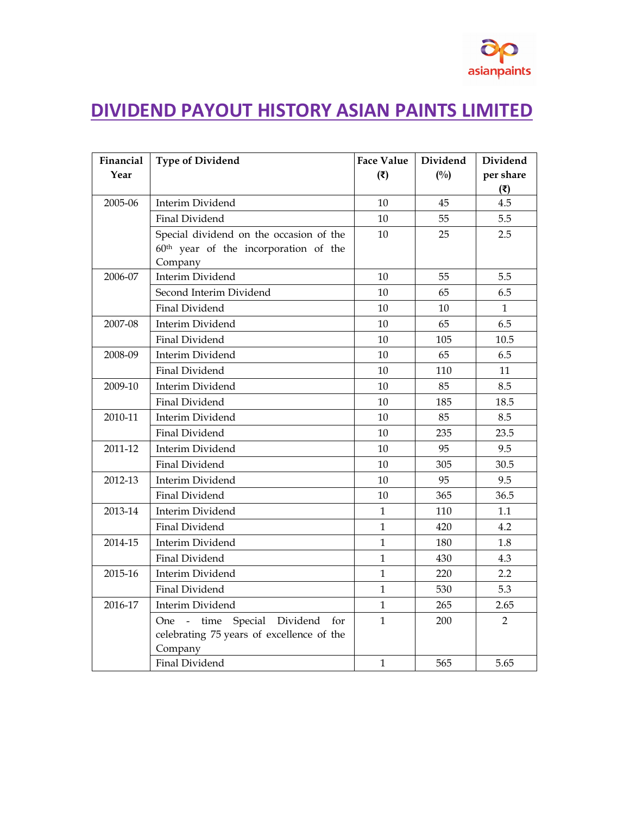## **DIVIDEND PAYOUT HISTORY ASIAN PAINTS LIMITED**

| Financial | <b>Type of Dividend</b>                           | <b>Face Value</b> | Dividend      | Dividend       |
|-----------|---------------------------------------------------|-------------------|---------------|----------------|
| Year      |                                                   | (3)               | $(^{0}/_{0})$ | per share      |
|           |                                                   |                   |               | (3)            |
| 2005-06   | Interim Dividend                                  | 10                | 45            | 4.5            |
|           | Final Dividend                                    | 10                | 55            | 5.5            |
|           | Special dividend on the occasion of the           | 10                | 25            | 2.5            |
|           | 60 <sup>th</sup> year of the incorporation of the |                   |               |                |
|           | Company                                           |                   |               |                |
| 2006-07   | Interim Dividend                                  | 10                | 55            | 5.5            |
|           | Second Interim Dividend                           | 10                | 65            | 6.5            |
|           | Final Dividend                                    | 10                | 10            | $\mathbf{1}$   |
| 2007-08   | Interim Dividend                                  | 10                | 65            | 6.5            |
|           | Final Dividend                                    | 10                | 105           | 10.5           |
| 2008-09   | Interim Dividend                                  | 10                | 65            | 6.5            |
|           | Final Dividend                                    | 10                | 110           | 11             |
| 2009-10   | Interim Dividend                                  | 10                | 85            | 8.5            |
|           | Final Dividend                                    | 10                | 185           | 18.5           |
| 2010-11   | Interim Dividend                                  | 10                | 85            | 8.5            |
|           | Final Dividend                                    | 10                | 235           | 23.5           |
| 2011-12   | Interim Dividend                                  | 10                | 95            | 9.5            |
|           | Final Dividend                                    | 10                | 305           | 30.5           |
| 2012-13   | Interim Dividend                                  | 10                | 95            | 9.5            |
|           | Final Dividend                                    | 10                | 365           | 36.5           |
| 2013-14   | Interim Dividend                                  | $\mathbf{1}$      | 110           | 1.1            |
|           | Final Dividend                                    | $\mathbf{1}$      | 420           | 4.2            |
| 2014-15   | Interim Dividend                                  | $\mathbf{1}$      | 180           | 1.8            |
|           | Final Dividend                                    | $\mathbf{1}$      | 430           | 4.3            |
| 2015-16   | Interim Dividend                                  | $\mathbf{1}$      | 220           | 2.2            |
|           | Final Dividend                                    | $\mathbf{1}$      | 530           | 5.3            |
| 2016-17   | Interim Dividend                                  | $\mathbf{1}$      | 265           | 2.65           |
|           | One - time Special Dividend for                   | $\mathbf{1}$      | 200           | $\overline{2}$ |
|           | celebrating 75 years of excellence of the         |                   |               |                |
|           | Company                                           |                   |               |                |
|           | Final Dividend                                    | $\mathbf{1}$      | 565           | 5.65           |